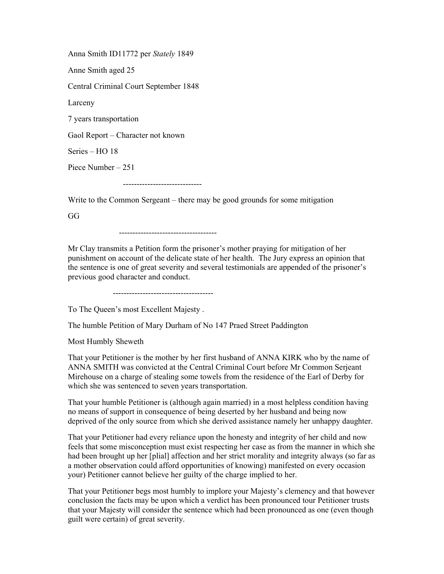Anna Smith ID11772 per Stately 1849 Anne Smith aged 25 Central Criminal Court September 1848 Larceny 7 years transportation Gaol Report – Character not known Series – HO 18 Piece Number – 251 -----------------------------

Write to the Common Sergeant – there may be good grounds for some mitigation

GG

------------------------------------

Mr Clay transmits a Petition form the prisoner's mother praying for mitigation of her punishment on account of the delicate state of her health. The Jury express an opinion that the sentence is one of great severity and several testimonials are appended of the prisoner's previous good character and conduct.

-------------------------------------

To The Queen's most Excellent Majesty .

The humble Petition of Mary Durham of No 147 Praed Street Paddington

Most Humbly Sheweth

That your Petitioner is the mother by her first husband of ANNA KIRK who by the name of ANNA SMITH was convicted at the Central Criminal Court before Mr Common Serjeant Mirehouse on a charge of stealing some towels from the residence of the Earl of Derby for which she was sentenced to seven years transportation.

That your humble Petitioner is (although again married) in a most helpless condition having no means of support in consequence of being deserted by her husband and being now deprived of the only source from which she derived assistance namely her unhappy daughter.

That your Petitioner had every reliance upon the honesty and integrity of her child and now feels that some misconception must exist respecting her case as from the manner in which she had been brought up her [plial] affection and her strict morality and integrity always (so far as a mother observation could afford opportunities of knowing) manifested on every occasion your) Petitioner cannot believe her guilty of the charge implied to her.

That your Petitioner begs most humbly to implore your Majesty's clemency and that however conclusion the facts may be upon which a verdict has been pronounced tour Petitioner trusts that your Majesty will consider the sentence which had been pronounced as one (even though guilt were certain) of great severity.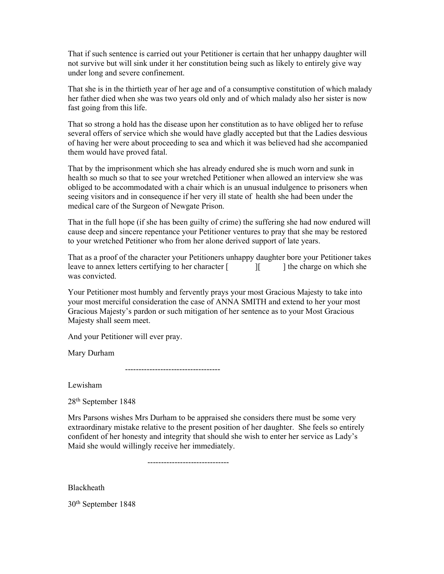That if such sentence is carried out your Petitioner is certain that her unhappy daughter will not survive but will sink under it her constitution being such as likely to entirely give way under long and severe confinement.

That she is in the thirtieth year of her age and of a consumptive constitution of which malady her father died when she was two years old only and of which malady also her sister is now fast going from this life.

That so strong a hold has the disease upon her constitution as to have obliged her to refuse several offers of service which she would have gladly accepted but that the Ladies desvious of having her were about proceeding to sea and which it was believed had she accompanied them would have proved fatal.

That by the imprisonment which she has already endured she is much worn and sunk in health so much so that to see your wretched Petitioner when allowed an interview she was obliged to be accommodated with a chair which is an unusual indulgence to prisoners when seeing visitors and in consequence if her very ill state of health she had been under the medical care of the Surgeon of Newgate Prison.

That in the full hope (if she has been guilty of crime) the suffering she had now endured will cause deep and sincere repentance your Petitioner ventures to pray that she may be restored to your wretched Petitioner who from her alone derived support of late years.

That as a proof of the character your Petitioners unhappy daughter bore your Petitioner takes leave to annex letters certifying to her character  $\begin{bmatrix} \cdot & \cdot & \cdot \\ \cdot & \cdot & \cdot \end{bmatrix}$  the charge on which she was convicted.

Your Petitioner most humbly and fervently prays your most Gracious Majesty to take into your most merciful consideration the case of ANNA SMITH and extend to her your most Gracious Majesty's pardon or such mitigation of her sentence as to your Most Gracious Majesty shall seem meet.

And your Petitioner will ever pray.

Mary Durham

-----------------------------------

Lewisham

28th September 1848

Mrs Parsons wishes Mrs Durham to be appraised she considers there must be some very extraordinary mistake relative to the present position of her daughter. She feels so entirely confident of her honesty and integrity that should she wish to enter her service as Lady's Maid she would willingly receive her immediately.

------------------------------

Blackheath

30th September 1848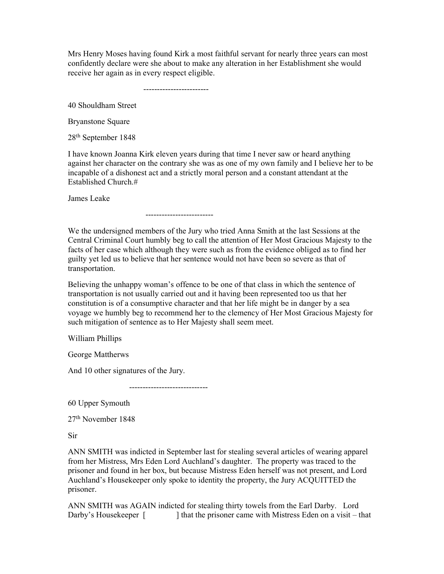Mrs Henry Moses having found Kirk a most faithful servant for nearly three years can most confidently declare were she about to make any alteration in her Establishment she would receive her again as in every respect eligible.

------------------------

40 Shouldham Street

Bryanstone Square

28th September 1848

I have known Joanna Kirk eleven years during that time I never saw or heard anything against her character on the contrary she was as one of my own family and I believe her to be incapable of a dishonest act and a strictly moral person and a constant attendant at the Established Church.#

James Leake

-------------------------

We the undersigned members of the Jury who tried Anna Smith at the last Sessions at the Central Criminal Court humbly beg to call the attention of Her Most Gracious Majesty to the facts of her case which although they were such as from the evidence obliged as to find her guilty yet led us to believe that her sentence would not have been so severe as that of transportation.

Believing the unhappy woman's offence to be one of that class in which the sentence of transportation is not usually carried out and it having been represented too us that her constitution is of a consumptive character and that her life might be in danger by a sea voyage we humbly beg to recommend her to the clemency of Her Most Gracious Majesty for such mitigation of sentence as to Her Majesty shall seem meet.

William Phillips

George Mattherws

And 10 other signatures of the Jury.

-----------------------------

60 Upper Symouth

27th November 1848

Sir

ANN SMITH was indicted in September last for stealing several articles of wearing apparel from her Mistress, Mrs Eden Lord Auchland's daughter. The property was traced to the prisoner and found in her box, but because Mistress Eden herself was not present, and Lord Auchland's Housekeeper only spoke to identity the property, the Jury ACQUITTED the prisoner.

ANN SMITH was AGAIN indicted for stealing thirty towels from the Earl Darby. Lord Darby's Housekeeper [ ] that the prisoner came with Mistress Eden on a visit – that